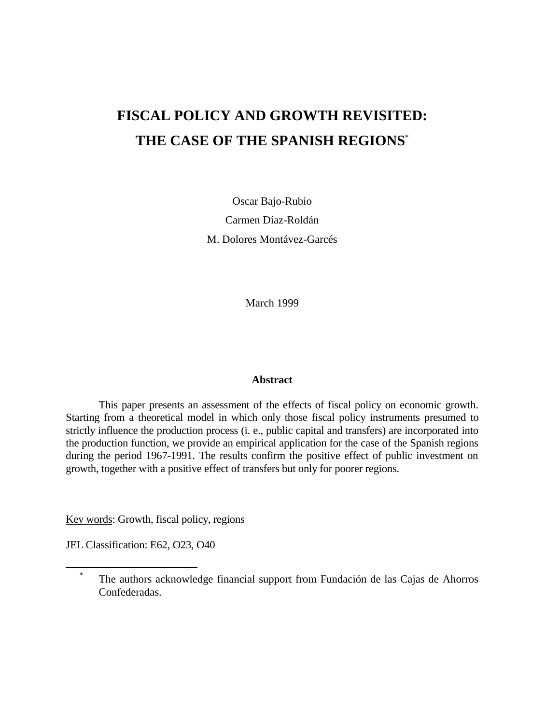# **FISCAL POLICY AND GROWTH REVISITED: THE CASE OF THE SPANISH REGIONS**\*

Oscar Bajo-Rubio Carmen Díaz-Roldán M. Dolores Montávez-Garcés

March 1999

#### **Abstract**

This paper presents an assessment of the effects of fiscal policy on economic growth. Starting from a theoretical model in which only those fiscal policy instruments presumed to strictly influence the production process (i. e., public capital and transfers) are incorporated into the production function, we provide an empirical application for the case of the Spanish regions during the period 1967-1991. The results confirm the positive effect of public investment on growth, together with a positive effect of transfers but only for poorer regions.

Key words: Growth, fiscal policy, regions

JEL Classification: E62, O23, O40

 $\overline{a}$ 

The authors acknowledge financial support from Fundación de las Cajas de Ahorros Confederadas.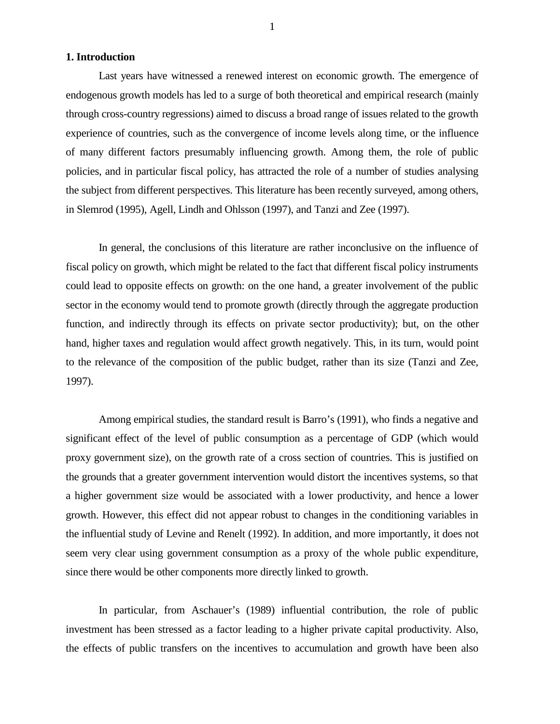#### **1. Introduction**

Last years have witnessed a renewed interest on economic growth. The emergence of endogenous growth models has led to a surge of both theoretical and empirical research (mainly through cross-country regressions) aimed to discuss a broad range of issues related to the growth experience of countries, such as the convergence of income levels along time, or the influence of many different factors presumably influencing growth. Among them, the role of public policies, and in particular fiscal policy, has attracted the role of a number of studies analysing the subject from different perspectives. This literature has been recently surveyed, among others, in Slemrod (1995), Agell, Lindh and Ohlsson (1997), and Tanzi and Zee (1997).

In general, the conclusions of this literature are rather inconclusive on the influence of fiscal policy on growth, which might be related to the fact that different fiscal policy instruments could lead to opposite effects on growth: on the one hand, a greater involvement of the public sector in the economy would tend to promote growth (directly through the aggregate production function, and indirectly through its effects on private sector productivity); but, on the other hand, higher taxes and regulation would affect growth negatively. This, in its turn, would point to the relevance of the composition of the public budget, rather than its size (Tanzi and Zee, 1997).

Among empirical studies, the standard result is Barro's (1991), who finds a negative and significant effect of the level of public consumption as a percentage of GDP (which would proxy government size), on the growth rate of a cross section of countries. This is justified on the grounds that a greater government intervention would distort the incentives systems, so that a higher government size would be associated with a lower productivity, and hence a lower growth. However, this effect did not appear robust to changes in the conditioning variables in the influential study of Levine and Renelt (1992). In addition, and more importantly, it does not seem very clear using government consumption as a proxy of the whole public expenditure, since there would be other components more directly linked to growth.

In particular, from Aschauer's (1989) influential contribution, the role of public investment has been stressed as a factor leading to a higher private capital productivity. Also, the effects of public transfers on the incentives to accumulation and growth have been also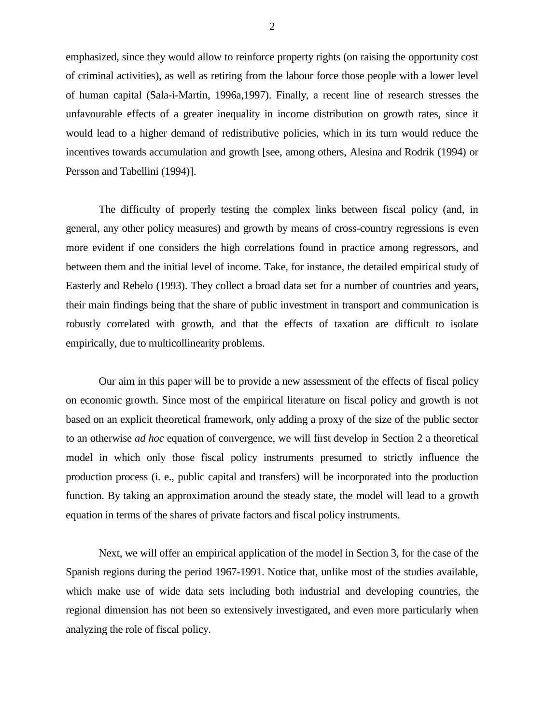emphasized, since they would allow to reinforce property rights (on raising the opportunity cost of criminal activities), as well as retiring from the labour force those people with a lower level of human capital (Sala-i-Martin, 1996a,1997). Finally, a recent line of research stresses the unfavourable effects of a greater inequality in income distribution on growth rates, since it would lead to a higher demand of redistributive policies, which in its turn would reduce the incentives towards accumulation and growth [see, among others, Alesina and Rodrik (1994) or Persson and Tabellini (1994)].

The difficulty of properly testing the complex links between fiscal policy (and, in general, any other policy measures) and growth by means of cross-country regressions is even more evident if one considers the high correlations found in practice among regressors, and between them and the initial level of income. Take, for instance, the detailed empirical study of Easterly and Rebelo (1993). They collect a broad data set for a number of countries and years, their main findings being that the share of public investment in transport and communication is robustly correlated with growth, and that the effects of taxation are difficult to isolate empirically, due to multicollinearity problems.

Our aim in this paper will be to provide a new assessment of the effects of fiscal policy on economic growth. Since most of the empirical literature on fiscal policy and growth is not based on an explicit theoretical framework, only adding a proxy of the size of the public sector to an otherwise *ad hoc* equation of convergence, we will first develop in Section 2 a theoretical model in which only those fiscal policy instruments presumed to strictly influence the production process (i. e., public capital and transfers) will be incorporated into the production function. By taking an approximation around the steady state, the model will lead to a growth equation in terms of the shares of private factors and fiscal policy instruments.

Next, we will offer an empirical application of the model in Section 3, for the case of the Spanish regions during the period 1967-1991. Notice that, unlike most of the studies available, which make use of wide data sets including both industrial and developing countries, the regional dimension has not been so extensively investigated, and even more particularly when analyzing the role of fiscal policy.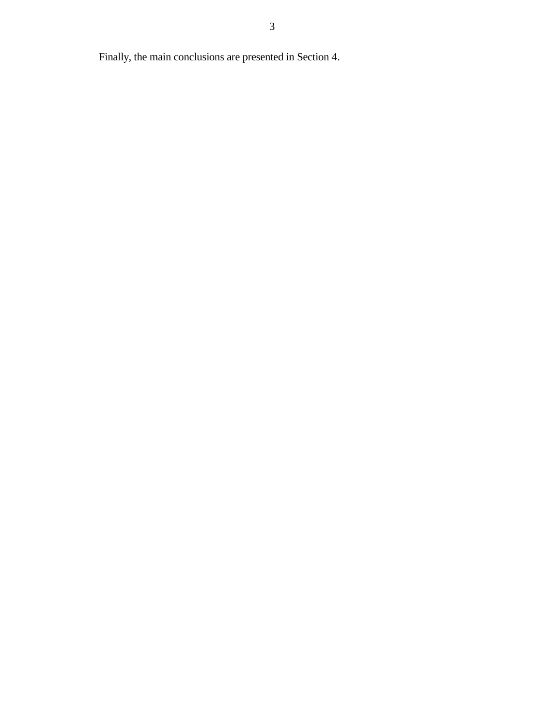Finally, the main conclusions are presented in Section 4.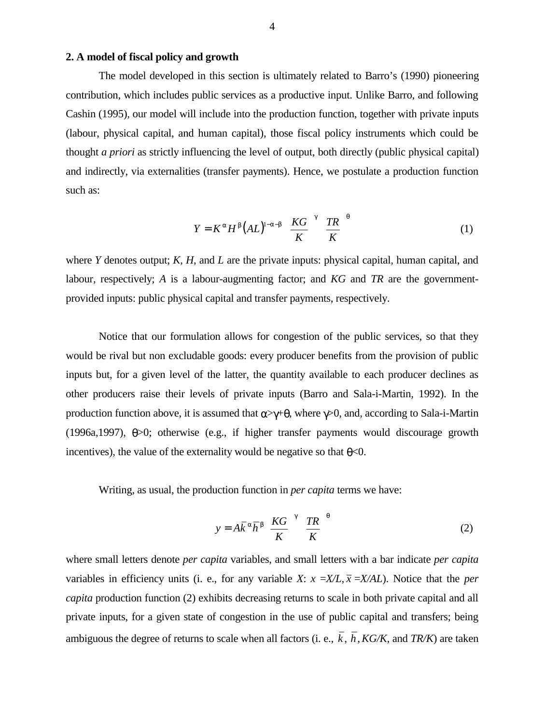### **2. A model of fiscal policy and growth**

The model developed in this section is ultimately related to Barro's (1990) pioneering contribution, which includes public services as a productive input. Unlike Barro, and following Cashin (1995), our model will include into the production function, together with private inputs (labour, physical capital, and human capital), those fiscal policy instruments which could be thought *a priori* as strictly influencing the level of output, both directly (public physical capital) and indirectly, via externalities (transfer payments). Hence, we postulate a production function such as:

$$
Y = K^{\alpha} H^{\beta} (AL)^{1-\alpha-\beta} \left(\frac{KG}{K}\right)^{\gamma} \left(\frac{TR}{K}\right)^{\theta} \tag{1}
$$

where *Y* denotes output; *K*, *H*, and *L* are the private inputs: physical capital, human capital, and labour, respectively; *A* is a labour-augmenting factor; and *KG* and *TR* are the governmentprovided inputs: public physical capital and transfer payments, respectively.

Notice that our formulation allows for congestion of the public services, so that they would be rival but non excludable goods: every producer benefits from the provision of public inputs but, for a given level of the latter, the quantity available to each producer declines as other producers raise their levels of private inputs (Barro and Sala-i-Martin, 1992). In the production function above, it is assumed that  $\alpha \rightarrow \gamma + \theta$ , where  $\gamma > 0$ , and, according to Sala-i-Martin (1996a,1997), θ>0; otherwise (e.g., if higher transfer payments would discourage growth incentives), the value of the externality would be negative so that  $\theta$  < 0.

Writing, as usual, the production function in *per capita* terms we have:

$$
y = A\overline{k}^{\alpha}\overline{h}^{\beta}\left(\frac{KG}{K}\right)^{\gamma}\left(\frac{TR}{K}\right)^{\theta}
$$
 (2)

where small letters denote *per capita* variables, and small letters with a bar indicate *per capita* variables in efficiency units (i. e., for any variable *X*:  $x = X/L$ ,  $\overline{x} = X/A$ *L*). Notice that the *per capita* production function (2) exhibits decreasing returns to scale in both private capital and all private inputs, for a given state of congestion in the use of public capital and transfers; being ambiguous the degree of returns to scale when all factors (i. e.,  $\overline{k}$ ,  $\overline{h}$ , *KG/K*, and *TR/K*) are taken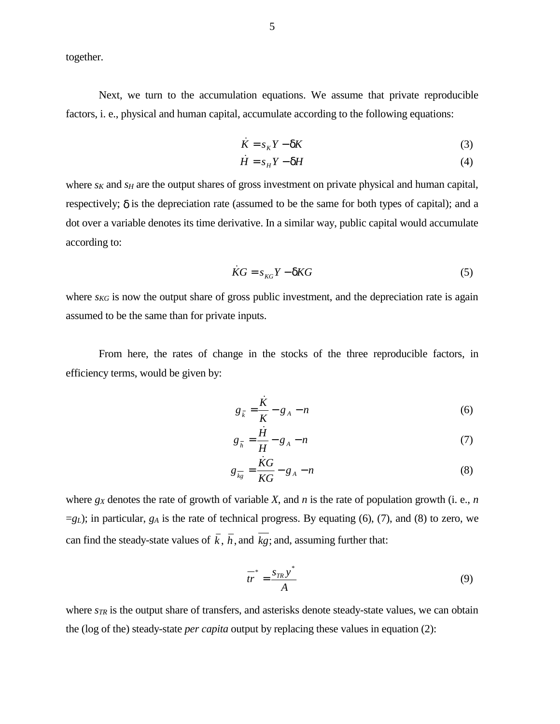together.

Next, we turn to the accumulation equations. We assume that private reproducible factors, i. e., physical and human capital, accumulate according to the following equations:

$$
\dot{K} = s_K Y - \delta K \tag{3}
$$

$$
\dot{H} = s_H Y - \delta H \tag{4}
$$

where  $s_K$  and  $s_H$  are the output shares of gross investment on private physical and human capital, respectively;  $\delta$  is the depreciation rate (assumed to be the same for both types of capital); and a dot over a variable denotes its time derivative. In a similar way, public capital would accumulate according to:

$$
\dot{K}G = s_{KG}Y - \delta KG \tag{5}
$$

where  $s_{KG}$  is now the output share of gross public investment, and the depreciation rate is again assumed to be the same than for private inputs.

From here, the rates of change in the stocks of the three reproducible factors, in efficiency terms, would be given by:

$$
g_{\bar{k}} = \frac{\dot{K}}{K} - g_A - n \tag{6}
$$

$$
g_{\bar{h}} = \frac{\dot{H}}{H} - g_A - n \tag{7}
$$

$$
g_{\overline{kg}} = \frac{\dot{K}G}{KG} - g_A - n \tag{8}
$$

where *gX* denotes the rate of growth of variable *X*, and *n* is the rate of population growth (i. e., *n* =*gL*); in particular, *gA* is the rate of technical progress. By equating (6), (7), and (8) to zero, we can find the steady-state values of  $\overline{k}$ ,  $\overline{h}$ , and  $\overline{k}$ ; and, assuming further that:

$$
\frac{1}{tr}^* = \frac{s_{TR}y^*}{A} \tag{9}
$$

where  $s_{TR}$  is the output share of transfers, and asterisks denote steady-state values, we can obtain the (log of the) steady-state *per capita* output by replacing these values in equation (2):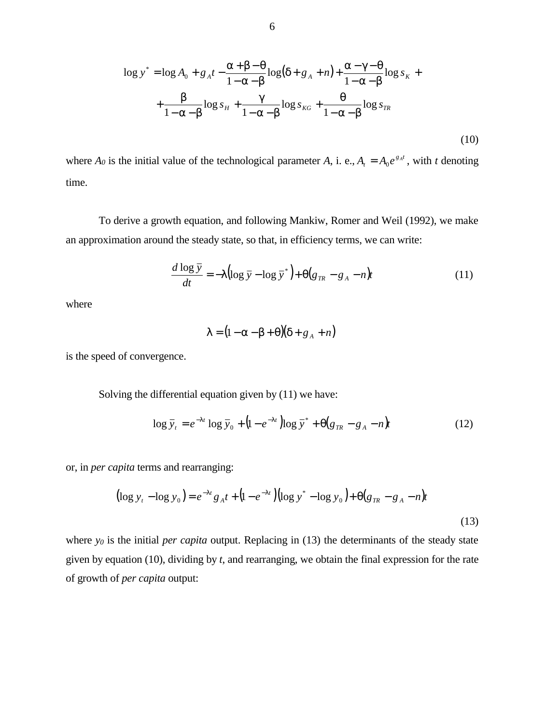$$
\log y^* = \log A_0 + g_A t - \frac{\alpha + \beta - \theta}{1 - \alpha - \beta} \log(\delta + g_A + n) + \frac{\alpha - \gamma - \theta}{1 - \alpha - \beta} \log s_K + \frac{\beta}{1 - \alpha - \beta} \log s_H + \frac{\gamma}{1 - \alpha - \beta} \log s_{KG} + \frac{\theta}{1 - \alpha - \beta} \log s_{TR}
$$
\n(10)

where  $A_0$  is the initial value of the technological parameter A, i. e.,  $A_t = A_0 e^{g_A t}$ , with *t* denoting time.

To derive a growth equation, and following Mankiw, Romer and Weil (1992), we make an approximation around the steady state, so that, in efficiency terms, we can write:

$$
\frac{d \log \bar{y}}{dt} = -\lambda \left( \log \bar{y} - \log \bar{y}^* \right) + \Theta \left( g_{TR} - g_A - n \right) t \tag{11}
$$

where

$$
\lambda = (1 - \alpha - \beta + \theta)(\delta + g_A + n)
$$

is the speed of convergence.

Solving the differential equation given by (11) we have:

$$
\log \overline{y}_t = e^{-\lambda t} \log \overline{y}_0 + (1 - e^{-\lambda t}) \log \overline{y}^* + \Theta(g_{TR} - g_A - n)t \tag{12}
$$

or, in *per capita* terms and rearranging:

$$
\left(\log y_t - \log y_0\right) = e^{-\lambda t} g_A t + \left(1 - e^{-\lambda t}\right) \left(\log y^* - \log y_0\right) + \Theta\left(g_{TR} - g_A - n\right) t
$$
\n(13)

where *y<sub>0</sub>* is the initial *per capita* output. Replacing in (13) the determinants of the steady state given by equation (10), dividing by *t*, and rearranging, we obtain the final expression for the rate of growth of *per capita* output: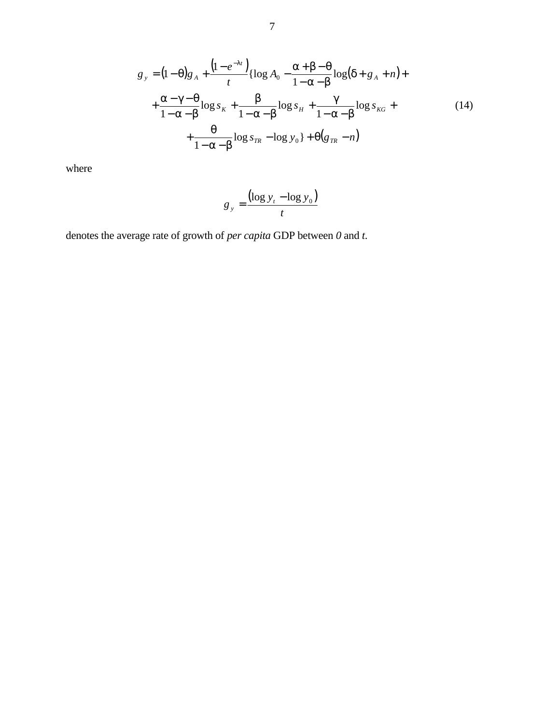$$
g_y = (1 - \theta)g_A + \frac{(1 - e^{-\lambda t})}{t} \{ \log A_0 - \frac{\alpha + \beta - \theta}{1 - \alpha - \beta} \log(\delta + g_A + n) + \frac{\alpha - \gamma - \theta}{1 - \alpha - \beta} \log s_K + \frac{\beta}{1 - \alpha - \beta} \log s_H + \frac{\gamma}{1 - \alpha - \beta} \log s_{KG} + \frac{\theta}{1 - \alpha - \beta} \log s_{TR} - \log y_0 \} + \theta(g_{TR} - n)
$$
\n(14)

where

$$
g_y = \frac{(\log y_t - \log y_0)}{t}
$$

denotes the average rate of growth of *per capita* GDP between *0* and *t*.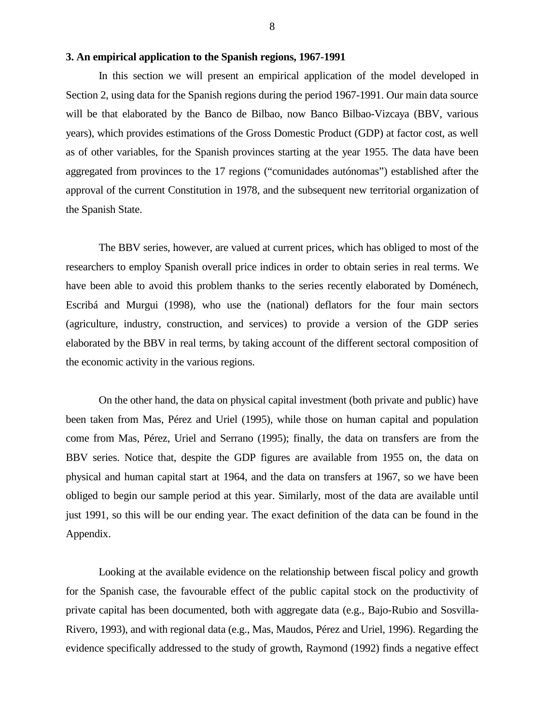#### **3. An empirical application to the Spanish regions, 1967-1991**

In this section we will present an empirical application of the model developed in Section 2, using data for the Spanish regions during the period 1967-1991. Our main data source will be that elaborated by the Banco de Bilbao, now Banco Bilbao-Vizcaya (BBV, various years), which provides estimations of the Gross Domestic Product (GDP) at factor cost, as well as of other variables, for the Spanish provinces starting at the year 1955. The data have been aggregated from provinces to the 17 regions ("comunidades autónomas") established after the approval of the current Constitution in 1978, and the subsequent new territorial organization of the Spanish State.

The BBV series, however, are valued at current prices, which has obliged to most of the researchers to employ Spanish overall price indices in order to obtain series in real terms. We have been able to avoid this problem thanks to the series recently elaborated by Doménech, Escribá and Murgui (1998), who use the (national) deflators for the four main sectors (agriculture, industry, construction, and services) to provide a version of the GDP series elaborated by the BBV in real terms, by taking account of the different sectoral composition of the economic activity in the various regions.

On the other hand, the data on physical capital investment (both private and public) have been taken from Mas, Pérez and Uriel (1995), while those on human capital and population come from Mas, Pérez, Uriel and Serrano (1995); finally, the data on transfers are from the BBV series. Notice that, despite the GDP figures are available from 1955 on, the data on physical and human capital start at 1964, and the data on transfers at 1967, so we have been obliged to begin our sample period at this year. Similarly, most of the data are available until just 1991, so this will be our ending year. The exact definition of the data can be found in the Appendix.

Looking at the available evidence on the relationship between fiscal policy and growth for the Spanish case, the favourable effect of the public capital stock on the productivity of private capital has been documented, both with aggregate data (e.g., Bajo-Rubio and Sosvilla-Rivero, 1993), and with regional data (e.g., Mas, Maudos, Pérez and Uriel, 1996). Regarding the evidence specifically addressed to the study of growth, Raymond (1992) finds a negative effect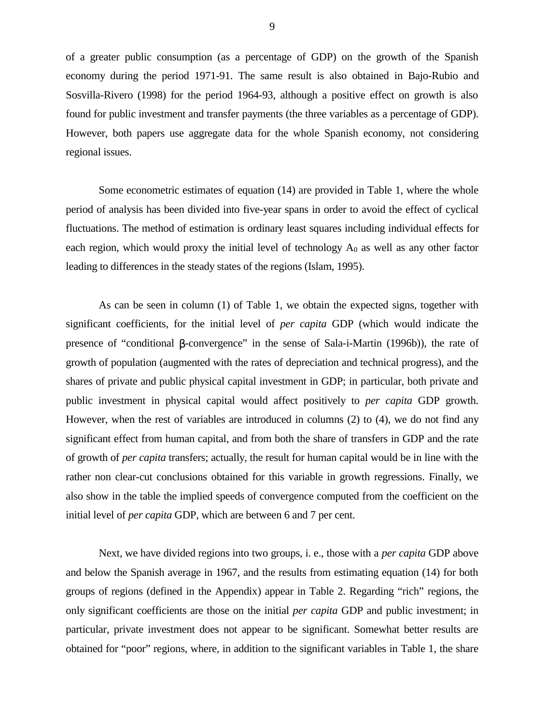of a greater public consumption (as a percentage of GDP) on the growth of the Spanish economy during the period 1971-91. The same result is also obtained in Bajo-Rubio and Sosvilla-Rivero (1998) for the period 1964-93, although a positive effect on growth is also found for public investment and transfer payments (the three variables as a percentage of GDP). However, both papers use aggregate data for the whole Spanish economy, not considering regional issues.

Some econometric estimates of equation (14) are provided in Table 1, where the whole period of analysis has been divided into five-year spans in order to avoid the effect of cyclical fluctuations. The method of estimation is ordinary least squares including individual effects for each region, which would proxy the initial level of technology  $A_0$  as well as any other factor leading to differences in the steady states of the regions (Islam, 1995).

As can be seen in column (1) of Table 1, we obtain the expected signs, together with significant coefficients, for the initial level of *per capita* GDP (which would indicate the presence of "conditional β-convergence" in the sense of Sala-i-Martin (1996b)), the rate of growth of population (augmented with the rates of depreciation and technical progress), and the shares of private and public physical capital investment in GDP; in particular, both private and public investment in physical capital would affect positively to *per capita* GDP growth. However, when the rest of variables are introduced in columns (2) to (4), we do not find any significant effect from human capital, and from both the share of transfers in GDP and the rate of growth of *per capita* transfers; actually, the result for human capital would be in line with the rather non clear-cut conclusions obtained for this variable in growth regressions. Finally, we also show in the table the implied speeds of convergence computed from the coefficient on the initial level of *per capita* GDP, which are between 6 and 7 per cent.

Next, we have divided regions into two groups, i. e., those with a *per capita* GDP above and below the Spanish average in 1967, and the results from estimating equation (14) for both groups of regions (defined in the Appendix) appear in Table 2. Regarding "rich" regions, the only significant coefficients are those on the initial *per capita* GDP and public investment; in particular, private investment does not appear to be significant. Somewhat better results are obtained for "poor" regions, where, in addition to the significant variables in Table 1, the share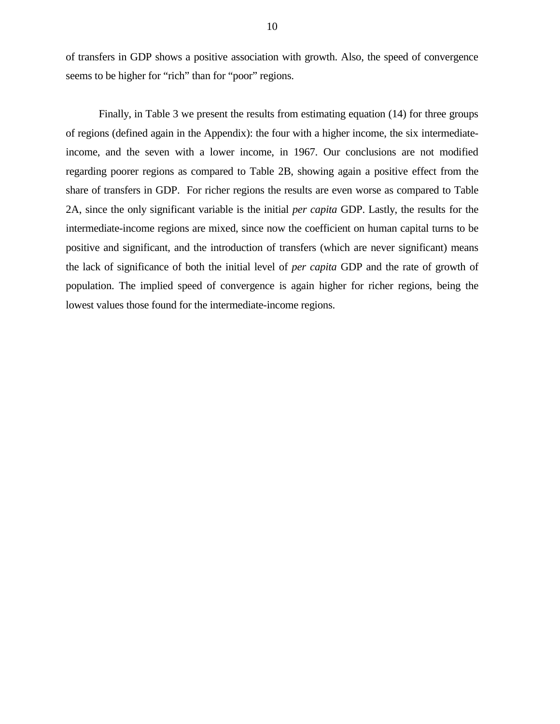of transfers in GDP shows a positive association with growth. Also, the speed of convergence seems to be higher for "rich" than for "poor" regions.

Finally, in Table 3 we present the results from estimating equation (14) for three groups of regions (defined again in the Appendix): the four with a higher income, the six intermediateincome, and the seven with a lower income, in 1967. Our conclusions are not modified regarding poorer regions as compared to Table 2B, showing again a positive effect from the share of transfers in GDP. For richer regions the results are even worse as compared to Table 2A, since the only significant variable is the initial *per capita* GDP. Lastly, the results for the intermediate-income regions are mixed, since now the coefficient on human capital turns to be positive and significant, and the introduction of transfers (which are never significant) means the lack of significance of both the initial level of *per capita* GDP and the rate of growth of population. The implied speed of convergence is again higher for richer regions, being the lowest values those found for the intermediate-income regions.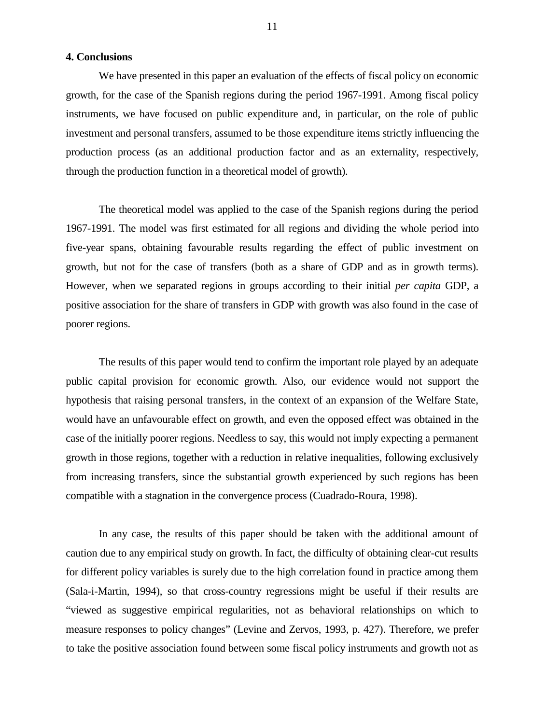#### **4. Conclusions**

We have presented in this paper an evaluation of the effects of fiscal policy on economic growth, for the case of the Spanish regions during the period 1967-1991. Among fiscal policy instruments, we have focused on public expenditure and, in particular, on the role of public investment and personal transfers, assumed to be those expenditure items strictly influencing the production process (as an additional production factor and as an externality, respectively, through the production function in a theoretical model of growth).

The theoretical model was applied to the case of the Spanish regions during the period 1967-1991. The model was first estimated for all regions and dividing the whole period into five-year spans, obtaining favourable results regarding the effect of public investment on growth, but not for the case of transfers (both as a share of GDP and as in growth terms). However, when we separated regions in groups according to their initial *per capita* GDP, a positive association for the share of transfers in GDP with growth was also found in the case of poorer regions.

The results of this paper would tend to confirm the important role played by an adequate public capital provision for economic growth. Also, our evidence would not support the hypothesis that raising personal transfers, in the context of an expansion of the Welfare State, would have an unfavourable effect on growth, and even the opposed effect was obtained in the case of the initially poorer regions. Needless to say, this would not imply expecting a permanent growth in those regions, together with a reduction in relative inequalities, following exclusively from increasing transfers, since the substantial growth experienced by such regions has been compatible with a stagnation in the convergence process (Cuadrado-Roura, 1998).

In any case, the results of this paper should be taken with the additional amount of caution due to any empirical study on growth. In fact, the difficulty of obtaining clear-cut results for different policy variables is surely due to the high correlation found in practice among them (Sala-i-Martin, 1994), so that cross-country regressions might be useful if their results are "viewed as suggestive empirical regularities, not as behavioral relationships on which to measure responses to policy changes" (Levine and Zervos, 1993, p. 427). Therefore, we prefer to take the positive association found between some fiscal policy instruments and growth not as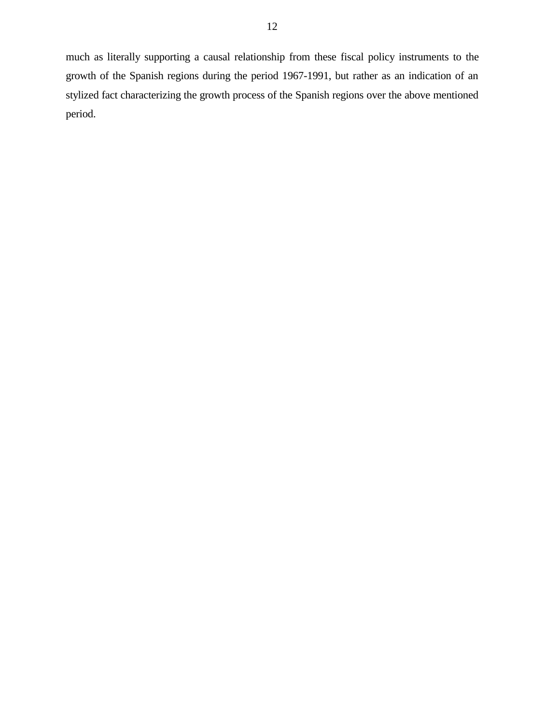much as literally supporting a causal relationship from these fiscal policy instruments to the growth of the Spanish regions during the period 1967-1991, but rather as an indication of an stylized fact characterizing the growth process of the Spanish regions over the above mentioned period.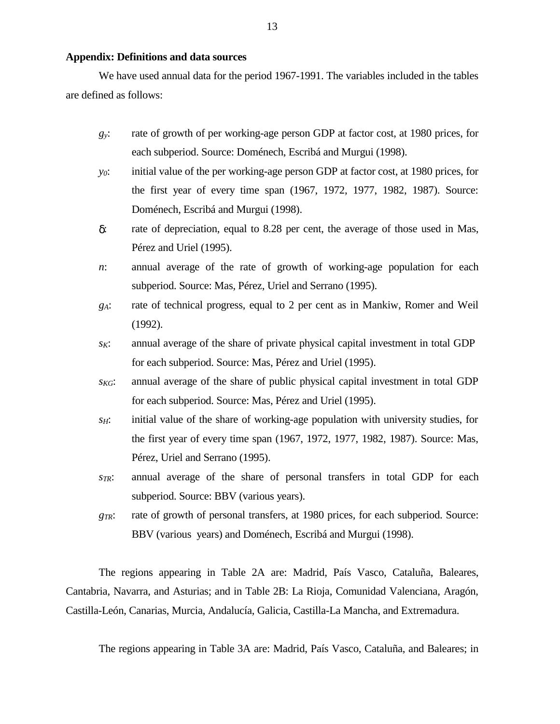#### **Appendix: Definitions and data sources**

We have used annual data for the period 1967-1991. The variables included in the tables are defined as follows:

- *gy*: rate of growth of per working-age person GDP at factor cost, at 1980 prices, for each subperiod. Source: Doménech, Escribá and Murgui (1998).
- *y0*: initial value of the per working-age person GDP at factor cost, at 1980 prices, for the first year of every time span (1967, 1972, 1977, 1982, 1987). Source: Doménech, Escribá and Murgui (1998).
- δ: rate of depreciation, equal to 8.28 per cent, the average of those used in Mas, Pérez and Uriel (1995).
- *n*: annual average of the rate of growth of working-age population for each subperiod. Source: Mas, Pérez, Uriel and Serrano (1995).
- *gA*: rate of technical progress, equal to 2 per cent as in Mankiw, Romer and Weil (1992).
- *sK*: annual average of the share of private physical capital investment in total GDP for each subperiod. Source: Mas, Pérez and Uriel (1995).
- *sKG*: annual average of the share of public physical capital investment in total GDP for each subperiod. Source: Mas, Pérez and Uriel (1995).
- *s<sub>H</sub>*: initial value of the share of working-age population with university studies, for the first year of every time span (1967, 1972, 1977, 1982, 1987). Source: Mas, Pérez, Uriel and Serrano (1995).
- *sTR*: annual average of the share of personal transfers in total GDP for each subperiod. Source: BBV (various years).
- *g<sub>TR</sub>*: rate of growth of personal transfers, at 1980 prices, for each subperiod. Source: BBV (various years) and Doménech, Escribá and Murgui (1998).

The regions appearing in Table 2A are: Madrid, País Vasco, Cataluña, Baleares, Cantabria, Navarra, and Asturias; and in Table 2B: La Rioja, Comunidad Valenciana, Aragón, Castilla-León, Canarias, Murcia, Andalucía, Galicia, Castilla-La Mancha, and Extremadura.

The regions appearing in Table 3A are: Madrid, País Vasco, Cataluña, and Baleares; in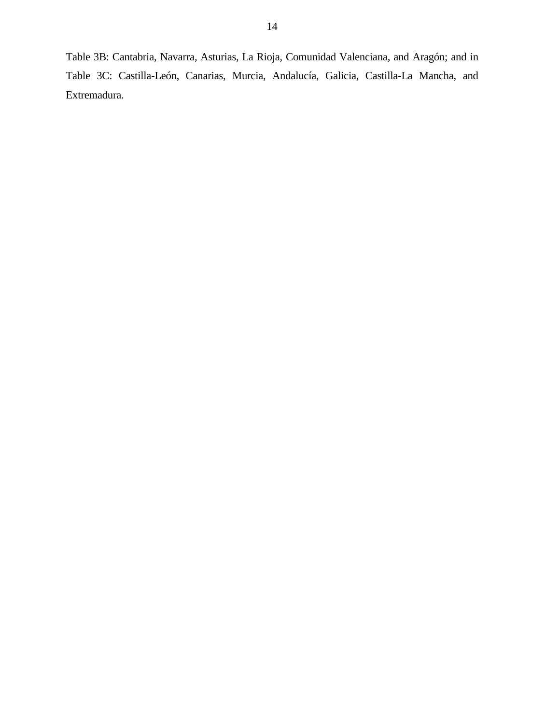Table 3B: Cantabria, Navarra, Asturias, La Rioja, Comunidad Valenciana, and Aragón; and in Table 3C: Castilla-León, Canarias, Murcia, Andalucía, Galicia, Castilla-La Mancha, and Extremadura.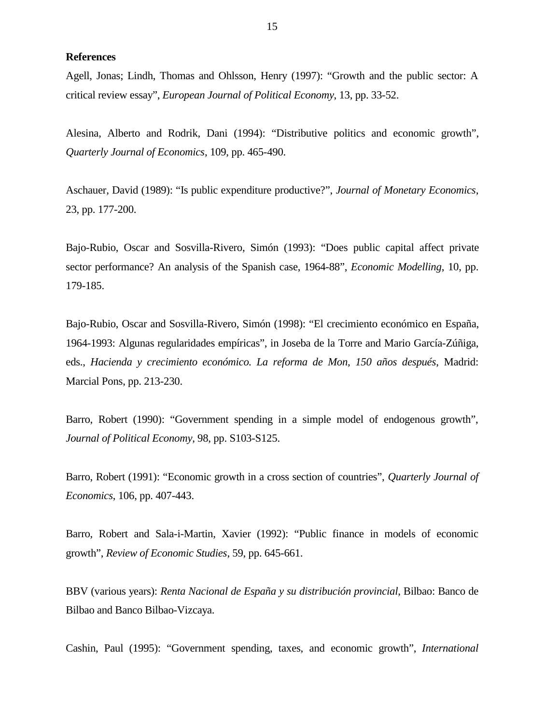**References**

Agell, Jonas; Lindh, Thomas and Ohlsson, Henry (1997): "Growth and the public sector: A critical review essay", *European Journal of Political Economy*, 13, pp. 33-52.

Alesina, Alberto and Rodrik, Dani (1994): "Distributive politics and economic growth", *Quarterly Journal of Economics*, 109, pp. 465-490.

Aschauer, David (1989): "Is public expenditure productive?", *Journal of Monetary Economics*, 23, pp. 177-200.

Bajo-Rubio, Oscar and Sosvilla-Rivero, Simón (1993): "Does public capital affect private sector performance? An analysis of the Spanish case, 1964-88", *Economic Modelling*, 10, pp. 179-185.

Bajo-Rubio, Oscar and Sosvilla-Rivero, Simón (1998): "El crecimiento económico en España, 1964-1993: Algunas regularidades empíricas", in Joseba de la Torre and Mario García-Zúñiga, eds., *Hacienda y crecimiento económico. La reforma de Mon, 150 años después*, Madrid: Marcial Pons, pp. 213-230.

Barro, Robert (1990): "Government spending in a simple model of endogenous growth", *Journal of Political Economy*, 98, pp. S103-S125.

Barro, Robert (1991): "Economic growth in a cross section of countries", *Quarterly Journal of Economics*, 106, pp. 407-443.

Barro, Robert and Sala-i-Martin, Xavier (1992): "Public finance in models of economic growth", *Review of Economic Studies*, 59, pp. 645-661.

BBV (various years): *Renta Nacional de España y su distribución provincial*, Bilbao: Banco de Bilbao and Banco Bilbao-Vizcaya.

Cashin, Paul (1995): "Government spending, taxes, and economic growth", *International*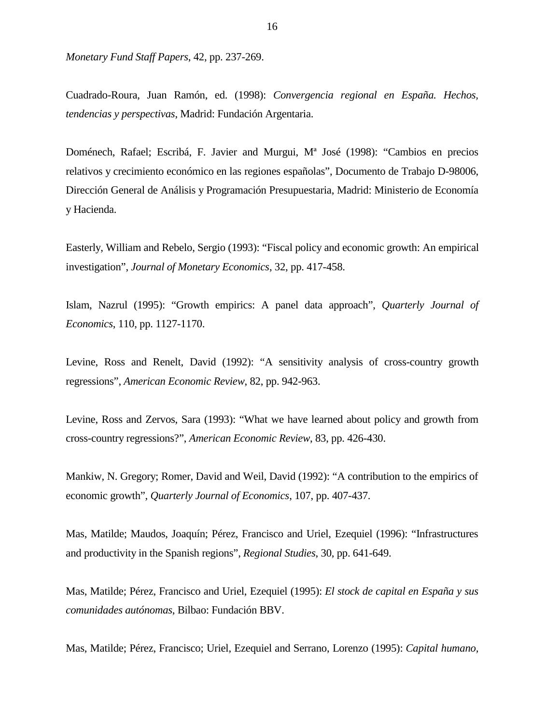*Monetary Fund Staff Papers*, 42, pp. 237-269.

Cuadrado-Roura, Juan Ramón, ed. (1998): *Convergencia regional en España. Hechos, tendencias y perspectivas*, Madrid: Fundación Argentaria.

Doménech, Rafael; Escribá, F. Javier and Murgui, Mª José (1998): "Cambios en precios relativos y crecimiento económico en las regiones españolas", Documento de Trabajo D-98006, Dirección General de Análisis y Programación Presupuestaria, Madrid: Ministerio de Economía y Hacienda.

Easterly, William and Rebelo, Sergio (1993): "Fiscal policy and economic growth: An empirical investigation", *Journal of Monetary Economics*, 32, pp. 417-458.

Islam, Nazrul (1995): "Growth empirics: A panel data approach", *Quarterly Journal of Economics*, 110, pp. 1127-1170.

Levine, Ross and Renelt, David (1992): "A sensitivity analysis of cross-country growth regressions", *American Economic Review*, 82, pp. 942-963.

Levine, Ross and Zervos, Sara (1993): "What we have learned about policy and growth from cross-country regressions?", *American Economic Review*, 83, pp. 426-430.

Mankiw, N. Gregory; Romer, David and Weil, David (1992): "A contribution to the empirics of economic growth", *Quarterly Journal of Economics*, 107, pp. 407-437.

Mas, Matilde; Maudos, Joaquín; Pérez, Francisco and Uriel, Ezequiel (1996): "Infrastructures and productivity in the Spanish regions", *Regional Studies*, 30, pp. 641-649.

Mas, Matilde; Pérez, Francisco and Uriel, Ezequiel (1995): *El stock de capital en España y sus comunidades autónomas*, Bilbao: Fundación BBV.

Mas, Matilde; Pérez, Francisco; Uriel, Ezequiel and Serrano, Lorenzo (1995): *Capital humano,*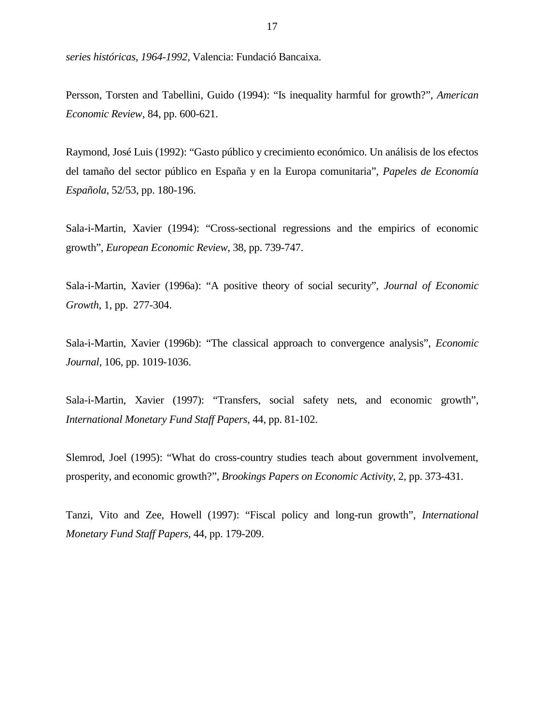*series históricas, 1964-1992*, Valencia: Fundació Bancaixa.

Persson, Torsten and Tabellini, Guido (1994): "Is inequality harmful for growth?", *American Economic Review*, 84, pp. 600-621.

Raymond, José Luis (1992): "Gasto público y crecimiento económico. Un análisis de los efectos del tamaño del sector público en España y en la Europa comunitaria", *Papeles de Economía Española*, 52/53, pp. 180-196.

Sala-i-Martin, Xavier (1994): "Cross-sectional regressions and the empirics of economic growth", *European Economic Review*, 38, pp. 739-747.

Sala-i-Martin, Xavier (1996a): "A positive theory of social security", *Journal of Economic Growth*, 1, pp. 277-304.

Sala-i-Martin, Xavier (1996b): "The classical approach to convergence analysis", *Economic Journal*, 106, pp. 1019-1036.

Sala-i-Martin, Xavier (1997): "Transfers, social safety nets, and economic growth", *International Monetary Fund Staff Papers*, 44, pp. 81-102.

Slemrod, Joel (1995): "What do cross-country studies teach about government involvement, prosperity, and economic growth?", *Brookings Papers on Economic Activity*, 2, pp. 373-431.

Tanzi, Vito and Zee, Howell (1997): "Fiscal policy and long-run growth", *International Monetary Fund Staff Papers*, 44, pp. 179-209.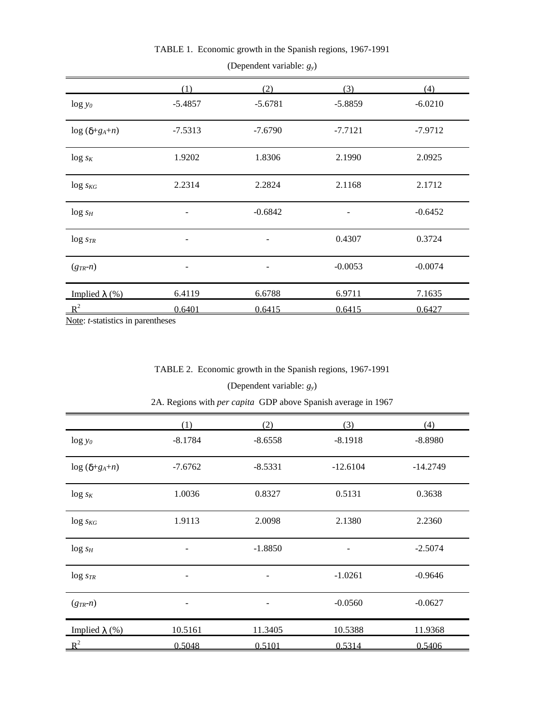| $\log y_0$                    | (1)<br>$-5.4857$         | (2)<br>$-5.6781$         | (3)<br>$-5.8859$ | (4)<br>$-6.0210$ |
|-------------------------------|--------------------------|--------------------------|------------------|------------------|
| $\log$ ( $\delta + g_A + n$ ) | $-7.5313$                | $-7.6790$                | $-7.7121$        | $-7.9712$        |
| $\log s_K$                    | 1.9202                   | 1.8306                   | 2.1990           | 2.0925           |
| $\log s_{KG}$                 | 2.2314                   | 2.2824                   | 2.1168           | 2.1712           |
| $log s_H$                     | -                        | $-0.6842$                | -                | $-0.6452$        |
| $\log$ $s_{TR}$               | -                        | $\qquad \qquad -$        | 0.4307           | 0.3724           |
| $(g_{TR} - n)$                | $\overline{\phantom{a}}$ | $\overline{\phantom{a}}$ | $-0.0053$        | $-0.0074$        |
| Implied $\lambda$ (%)         | 6.4119                   | 6.6788                   | 6.9711           | 7.1635           |
| $R^2$                         | 0.6401                   | 0.6415                   | 0.6415           | 0.6427           |

TABLE 1. Economic growth in the Spanish regions, 1967-1991

(Dependent variable: *gy*)

Note: *t*-statistics in parentheses

## TABLE 2. Economic growth in the Spanish regions, 1967-1991

(Dependent variable: *gy*)

2A. Regions with *per capita* GDP above Spanish average in 1967

|                               | (1)       | (2)       | (3)        | (4)        |
|-------------------------------|-----------|-----------|------------|------------|
| $\log y_0$                    | $-8.1784$ | $-8.6558$ | $-8.1918$  | $-8.8980$  |
| $\log$ ( $\delta + g_A + n$ ) | $-7.6762$ | $-8.5331$ | $-12.6104$ | $-14.2749$ |
| $\log s_K$                    | 1.0036    | 0.8327    | 0.5131     | 0.3638     |
| $\log s_{KG}$                 | 1.9113    | 2.0098    | 2.1380     | 2.2360     |
| $log s_H$                     | -         | $-1.8850$ | -          | $-2.5074$  |
| $\log s_{TR}$                 | -         |           | $-1.0261$  | $-0.9646$  |
| $(g_{TR} - n)$                | -         | -         | $-0.0560$  | $-0.0627$  |
| Implied $\lambda$ (%)         | 10.5161   | 11.3405   | 10.5388    | 11.9368    |
| $\mathbb{R}^2$                | 0.5048    | 0.5101    | 0.5314     | 0.5406     |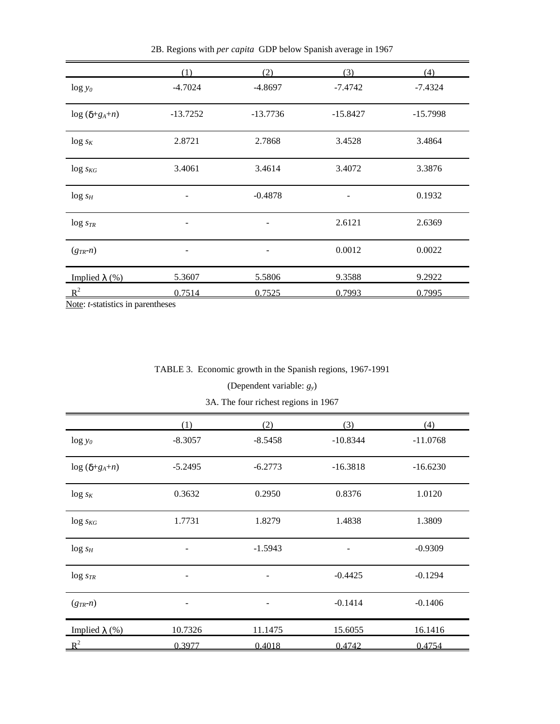|                               | (1)        | (2)        | (3)        | (4)        |
|-------------------------------|------------|------------|------------|------------|
| $\log y_0$                    | $-4.7024$  | $-4.8697$  | $-7.4742$  | $-7.4324$  |
| $\log$ ( $\delta + g_A + n$ ) | $-13.7252$ | $-13.7736$ | $-15.8427$ | $-15.7998$ |
| $\log s_K$                    | 2.8721     | 2.7868     | 3.4528     | 3.4864     |
| $\log s_{KG}$                 | 3.4061     | 3.4614     | 3.4072     | 3.3876     |
| $log_{sH}$                    | -          | $-0.4878$  |            | 0.1932     |
| $\log s_{TR}$                 |            |            | 2.6121     | 2.6369     |
| $(g_{TR} - n)$                | -          | -          | 0.0012     | 0.0022     |
| Implied $\lambda$ (%)         | 5.3607     | 5.5806     | 9.3588     | 9.2922     |
| $R^2$                         | 0.7514     | 0.7525     | 0.7993     | 0.7995     |

2B. Regions with *per capita* GDP below Spanish average in 1967

Note: *t*-statistics in parentheses

## TABLE 3. Economic growth in the Spanish regions, 1967-1991

## (Dependent variable: *gy*)

3A. The four richest regions in 1967

|                               | (1)                      | (2)       | (3)        | (4)        |
|-------------------------------|--------------------------|-----------|------------|------------|
| $\log y_0$                    | $-8.3057$                | $-8.5458$ | $-10.8344$ | $-11.0768$ |
| $\log$ ( $\delta + g_A + n$ ) | $-5.2495$                | $-6.2773$ | $-16.3818$ | $-16.6230$ |
| $\log s_K$                    | 0.3632                   | 0.2950    | 0.8376     | 1.0120     |
| $\log s_{KG}$                 | 1.7731                   | 1.8279    | 1.4838     | 1.3809     |
| $log s_H$                     | $\overline{\phantom{a}}$ | $-1.5943$ | -          | $-0.9309$  |
| $\log s_{TR}$                 |                          |           | $-0.4425$  | $-0.1294$  |
| $(g_{TR} - n)$                |                          |           | $-0.1414$  | $-0.1406$  |
| Implied $\lambda$ (%)         | 10.7326                  | 11.1475   | 15.6055    | 16.1416    |
| $\mathbb{R}^2$                | 0.3977                   | 0.4018    | 0.4742     | 0.4754     |